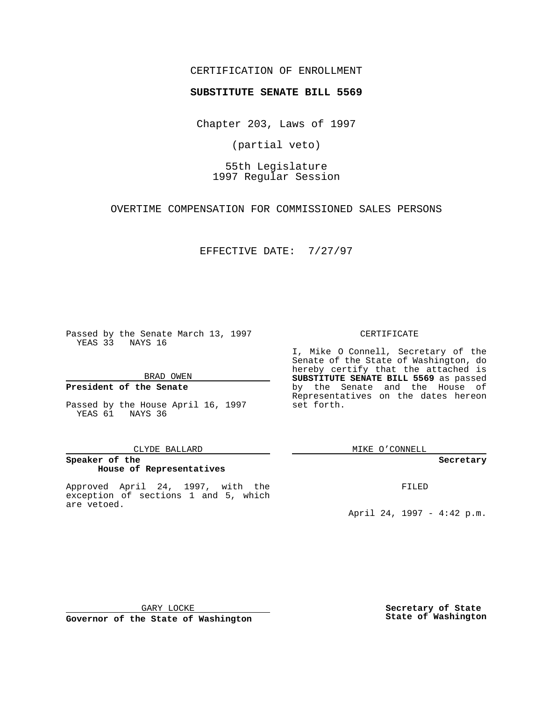### CERTIFICATION OF ENROLLMENT

# **SUBSTITUTE SENATE BILL 5569**

Chapter 203, Laws of 1997

(partial veto)

55th Legislature 1997 Regular Session

OVERTIME COMPENSATION FOR COMMISSIONED SALES PERSONS

EFFECTIVE DATE: 7/27/97

Passed by the Senate March 13, 1997 YEAS 33 NAYS 16

BRAD OWEN

### **President of the Senate**

Passed by the House April 16, 1997 YEAS 61 NAYS 36

#### CLYDE BALLARD

## **Speaker of the House of Representatives**

Approved April 24, 1997, with the exception of sections 1 and 5, which are vetoed.

#### CERTIFICATE

I, Mike O Connell, Secretary of the Senate of the State of Washington, do hereby certify that the attached is **SUBSTITUTE SENATE BILL 5569** as passed by the Senate and the House of Representatives on the dates hereon set forth.

MIKE O'CONNELL

#### **Secretary**

FILED

April 24, 1997 - 4:42 p.m.

**Governor of the State of Washington**

**Secretary of State State of Washington**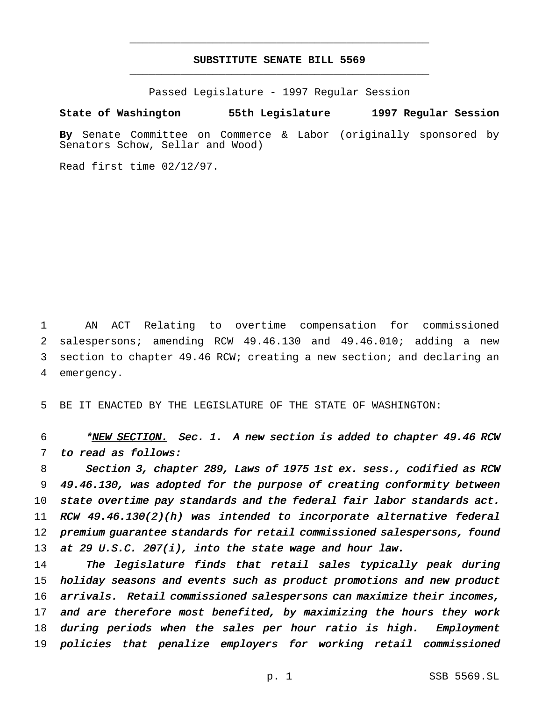## **SUBSTITUTE SENATE BILL 5569** \_\_\_\_\_\_\_\_\_\_\_\_\_\_\_\_\_\_\_\_\_\_\_\_\_\_\_\_\_\_\_\_\_\_\_\_\_\_\_\_\_\_\_\_\_\_\_

\_\_\_\_\_\_\_\_\_\_\_\_\_\_\_\_\_\_\_\_\_\_\_\_\_\_\_\_\_\_\_\_\_\_\_\_\_\_\_\_\_\_\_\_\_\_\_

Passed Legislature - 1997 Regular Session

### **State of Washington 55th Legislature 1997 Regular Session**

**By** Senate Committee on Commerce & Labor (originally sponsored by Senators Schow, Sellar and Wood)

Read first time 02/12/97.

 AN ACT Relating to overtime compensation for commissioned salespersons; amending RCW 49.46.130 and 49.46.010; adding a new section to chapter 49.46 RCW; creating a new section; and declaring an emergency.

5 BE IT ENACTED BY THE LEGISLATURE OF THE STATE OF WASHINGTON:

6 \*NEW SECTION. Sec. 1. A new section is added to chapter 49.46 RCW 7 to read as follows:

 Section 3, chapter 289, Laws of <sup>1975</sup> 1st ex. sess., codified as RCW 49.46.130, was adopted for the purpose of creating conformity between 10 state overtime pay standards and the federal fair labor standards act. RCW 49.46.130(2)(h) was intended to incorporate alternative federal premium guarantee standards for retail commissioned salespersons, found 13 at 29 U.S.C. 207(i), into the state wage and hour law.

 The legislature finds that retail sales typically peak during holiday seasons and events such as product promotions and new product arrivals. Retail commissioned salespersons can maximize their incomes, and are therefore most benefited, by maximizing the hours they work during periods when the sales per hour ratio is high. Employment policies that penalize employers for working retail commissioned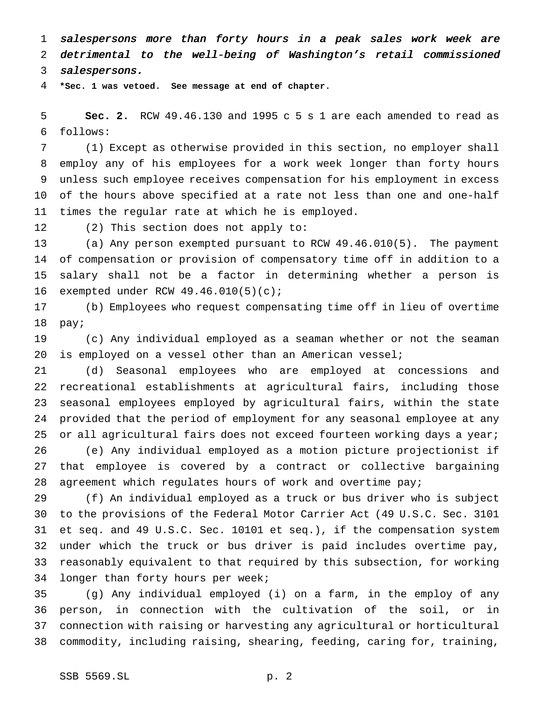salespersons more than forty hours in <sup>a</sup> peak sales work week are detrimental to the well-being of Washington's retail commissioned

salespersons.

**\*Sec. 1 was vetoed. See message at end of chapter.**

 **Sec. 2.** RCW 49.46.130 and 1995 c 5 s 1 are each amended to read as follows:

 (1) Except as otherwise provided in this section, no employer shall employ any of his employees for a work week longer than forty hours unless such employee receives compensation for his employment in excess of the hours above specified at a rate not less than one and one-half times the regular rate at which he is employed.

(2) This section does not apply to:

 (a) Any person exempted pursuant to RCW 49.46.010(5). The payment of compensation or provision of compensatory time off in addition to a salary shall not be a factor in determining whether a person is exempted under RCW 49.46.010(5)(c);

 (b) Employees who request compensating time off in lieu of overtime pay;

 (c) Any individual employed as a seaman whether or not the seaman 20 is employed on a vessel other than an American vessel;

 (d) Seasonal employees who are employed at concessions and recreational establishments at agricultural fairs, including those seasonal employees employed by agricultural fairs, within the state provided that the period of employment for any seasonal employee at any 25 or all agricultural fairs does not exceed fourteen working days a year; (e) Any individual employed as a motion picture projectionist if that employee is covered by a contract or collective bargaining agreement which regulates hours of work and overtime pay;

 (f) An individual employed as a truck or bus driver who is subject to the provisions of the Federal Motor Carrier Act (49 U.S.C. Sec. 3101 et seq. and 49 U.S.C. Sec. 10101 et seq.), if the compensation system under which the truck or bus driver is paid includes overtime pay, reasonably equivalent to that required by this subsection, for working longer than forty hours per week;

 (g) Any individual employed (i) on a farm, in the employ of any person, in connection with the cultivation of the soil, or in connection with raising or harvesting any agricultural or horticultural commodity, including raising, shearing, feeding, caring for, training,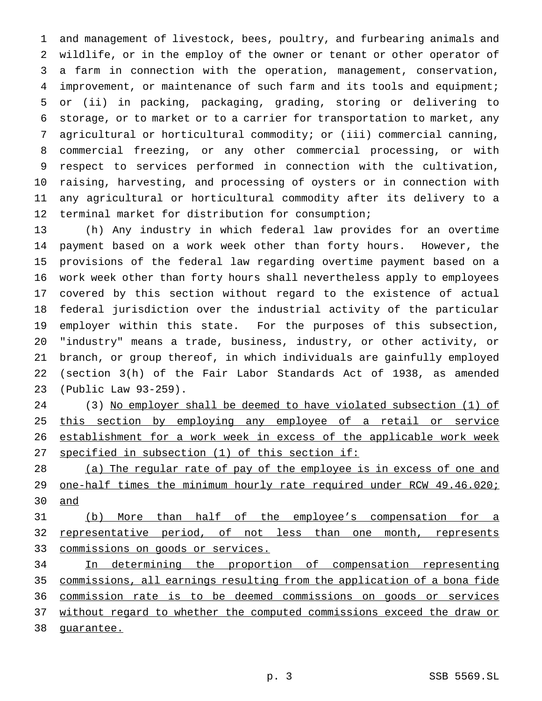and management of livestock, bees, poultry, and furbearing animals and wildlife, or in the employ of the owner or tenant or other operator of a farm in connection with the operation, management, conservation, improvement, or maintenance of such farm and its tools and equipment; or (ii) in packing, packaging, grading, storing or delivering to storage, or to market or to a carrier for transportation to market, any agricultural or horticultural commodity; or (iii) commercial canning, commercial freezing, or any other commercial processing, or with respect to services performed in connection with the cultivation, raising, harvesting, and processing of oysters or in connection with any agricultural or horticultural commodity after its delivery to a terminal market for distribution for consumption;

 (h) Any industry in which federal law provides for an overtime payment based on a work week other than forty hours. However, the provisions of the federal law regarding overtime payment based on a work week other than forty hours shall nevertheless apply to employees covered by this section without regard to the existence of actual federal jurisdiction over the industrial activity of the particular employer within this state. For the purposes of this subsection, "industry" means a trade, business, industry, or other activity, or branch, or group thereof, in which individuals are gainfully employed (section 3(h) of the Fair Labor Standards Act of 1938, as amended (Public Law 93-259).

24 (3) No employer shall be deemed to have violated subsection (1) of 25 this section by employing any employee of a retail or service 26 establishment for a work week in excess of the applicable work week specified in subsection (1) of this section if:

 (a) The regular rate of pay of the employee is in excess of one and 29 one-half times the minimum hourly rate required under RCW 49.46.020; and

 (b) More than half of the employee's compensation for a 32 representative period, of not less than one month, represents commissions on goods or services.

 In determining the proportion of compensation representing commissions, all earnings resulting from the application of a bona fide commission rate is to be deemed commissions on goods or services 37 without regard to whether the computed commissions exceed the draw or guarantee.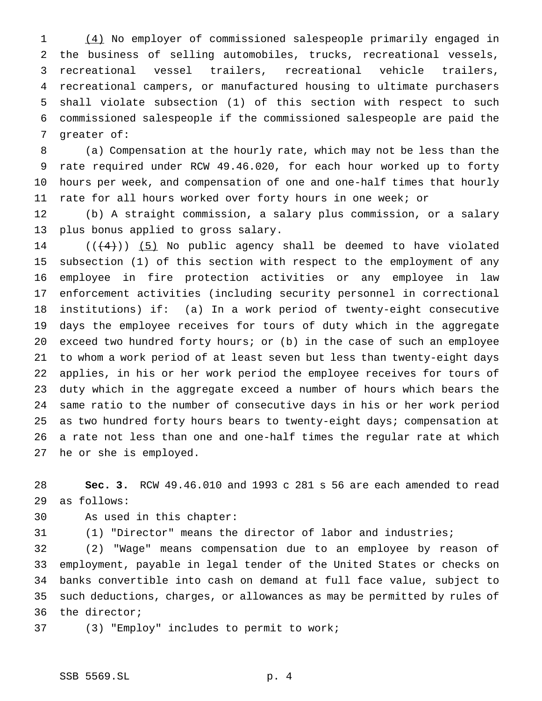(4) No employer of commissioned salespeople primarily engaged in the business of selling automobiles, trucks, recreational vessels, recreational vessel trailers, recreational vehicle trailers, recreational campers, or manufactured housing to ultimate purchasers shall violate subsection (1) of this section with respect to such commissioned salespeople if the commissioned salespeople are paid the greater of:

 (a) Compensation at the hourly rate, which may not be less than the rate required under RCW 49.46.020, for each hour worked up to forty hours per week, and compensation of one and one-half times that hourly rate for all hours worked over forty hours in one week; or

 (b) A straight commission, a salary plus commission, or a salary plus bonus applied to gross salary.

 $((+4))$  (5) No public agency shall be deemed to have violated subsection (1) of this section with respect to the employment of any employee in fire protection activities or any employee in law enforcement activities (including security personnel in correctional institutions) if: (a) In a work period of twenty-eight consecutive days the employee receives for tours of duty which in the aggregate exceed two hundred forty hours; or (b) in the case of such an employee to whom a work period of at least seven but less than twenty-eight days applies, in his or her work period the employee receives for tours of duty which in the aggregate exceed a number of hours which bears the same ratio to the number of consecutive days in his or her work period as two hundred forty hours bears to twenty-eight days; compensation at a rate not less than one and one-half times the regular rate at which he or she is employed.

 **Sec. 3.** RCW 49.46.010 and 1993 c 281 s 56 are each amended to read as follows:

As used in this chapter:

(1) "Director" means the director of labor and industries;

 (2) "Wage" means compensation due to an employee by reason of employment, payable in legal tender of the United States or checks on banks convertible into cash on demand at full face value, subject to such deductions, charges, or allowances as may be permitted by rules of the director;

(3) "Employ" includes to permit to work;

### SSB 5569.SL p. 4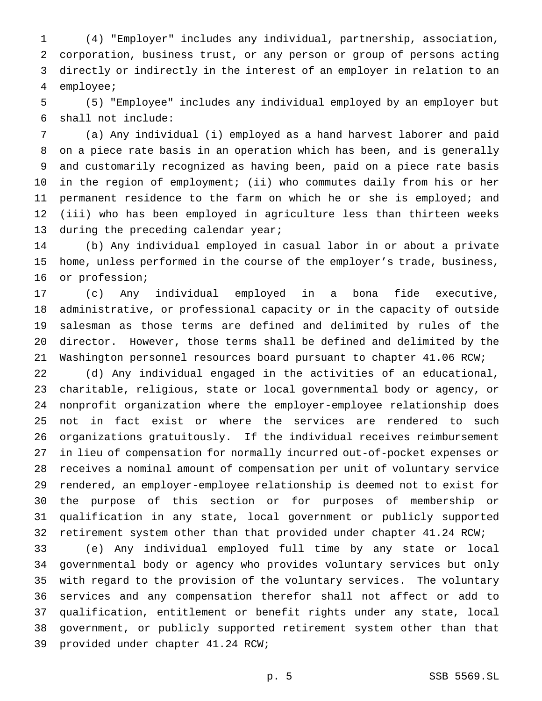(4) "Employer" includes any individual, partnership, association, corporation, business trust, or any person or group of persons acting directly or indirectly in the interest of an employer in relation to an employee;

 (5) "Employee" includes any individual employed by an employer but shall not include:

 (a) Any individual (i) employed as a hand harvest laborer and paid on a piece rate basis in an operation which has been, and is generally and customarily recognized as having been, paid on a piece rate basis in the region of employment; (ii) who commutes daily from his or her permanent residence to the farm on which he or she is employed; and (iii) who has been employed in agriculture less than thirteen weeks 13 during the preceding calendar year;

 (b) Any individual employed in casual labor in or about a private home, unless performed in the course of the employer's trade, business, or profession;

 (c) Any individual employed in a bona fide executive, administrative, or professional capacity or in the capacity of outside salesman as those terms are defined and delimited by rules of the director. However, those terms shall be defined and delimited by the Washington personnel resources board pursuant to chapter 41.06 RCW;

 (d) Any individual engaged in the activities of an educational, charitable, religious, state or local governmental body or agency, or nonprofit organization where the employer-employee relationship does not in fact exist or where the services are rendered to such organizations gratuitously. If the individual receives reimbursement in lieu of compensation for normally incurred out-of-pocket expenses or receives a nominal amount of compensation per unit of voluntary service rendered, an employer-employee relationship is deemed not to exist for the purpose of this section or for purposes of membership or qualification in any state, local government or publicly supported retirement system other than that provided under chapter 41.24 RCW;

 (e) Any individual employed full time by any state or local governmental body or agency who provides voluntary services but only with regard to the provision of the voluntary services. The voluntary services and any compensation therefor shall not affect or add to qualification, entitlement or benefit rights under any state, local government, or publicly supported retirement system other than that provided under chapter 41.24 RCW;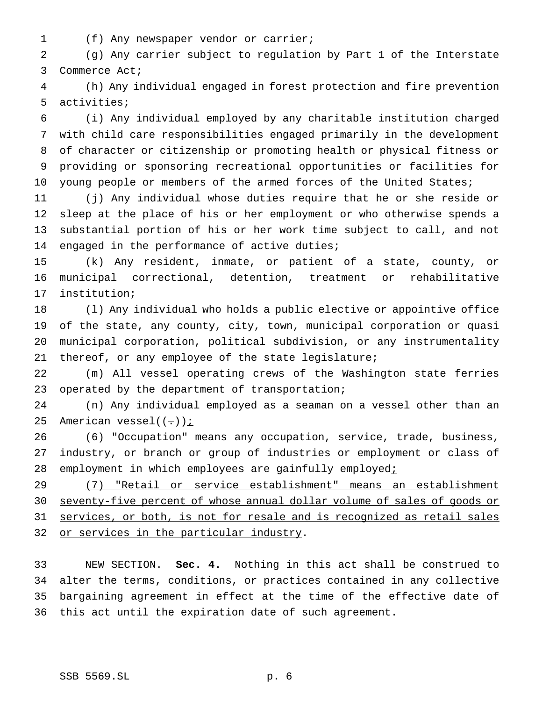(f) Any newspaper vendor or carrier;

 (g) Any carrier subject to regulation by Part 1 of the Interstate Commerce Act;

 (h) Any individual engaged in forest protection and fire prevention activities;

 (i) Any individual employed by any charitable institution charged with child care responsibilities engaged primarily in the development of character or citizenship or promoting health or physical fitness or providing or sponsoring recreational opportunities or facilities for 10 young people or members of the armed forces of the United States;

 (j) Any individual whose duties require that he or she reside or sleep at the place of his or her employment or who otherwise spends a substantial portion of his or her work time subject to call, and not engaged in the performance of active duties;

 (k) Any resident, inmate, or patient of a state, county, or municipal correctional, detention, treatment or rehabilitative institution;

 (l) Any individual who holds a public elective or appointive office of the state, any county, city, town, municipal corporation or quasi municipal corporation, political subdivision, or any instrumentality thereof, or any employee of the state legislature;

 (m) All vessel operating crews of the Washington state ferries operated by the department of transportation;

 (n) Any individual employed as a seaman on a vessel other than an 25 American vessel $((-))$  *i* 

 (6) "Occupation" means any occupation, service, trade, business, industry, or branch or group of industries or employment or class of 28 employment in which employees are gainfully employedi

 (7) "Retail or service establishment" means an establishment seventy-five percent of whose annual dollar volume of sales of goods or 31 services, or both, is not for resale and is recognized as retail sales 32 or services in the particular industry.

 NEW SECTION. **Sec. 4.** Nothing in this act shall be construed to alter the terms, conditions, or practices contained in any collective bargaining agreement in effect at the time of the effective date of this act until the expiration date of such agreement.